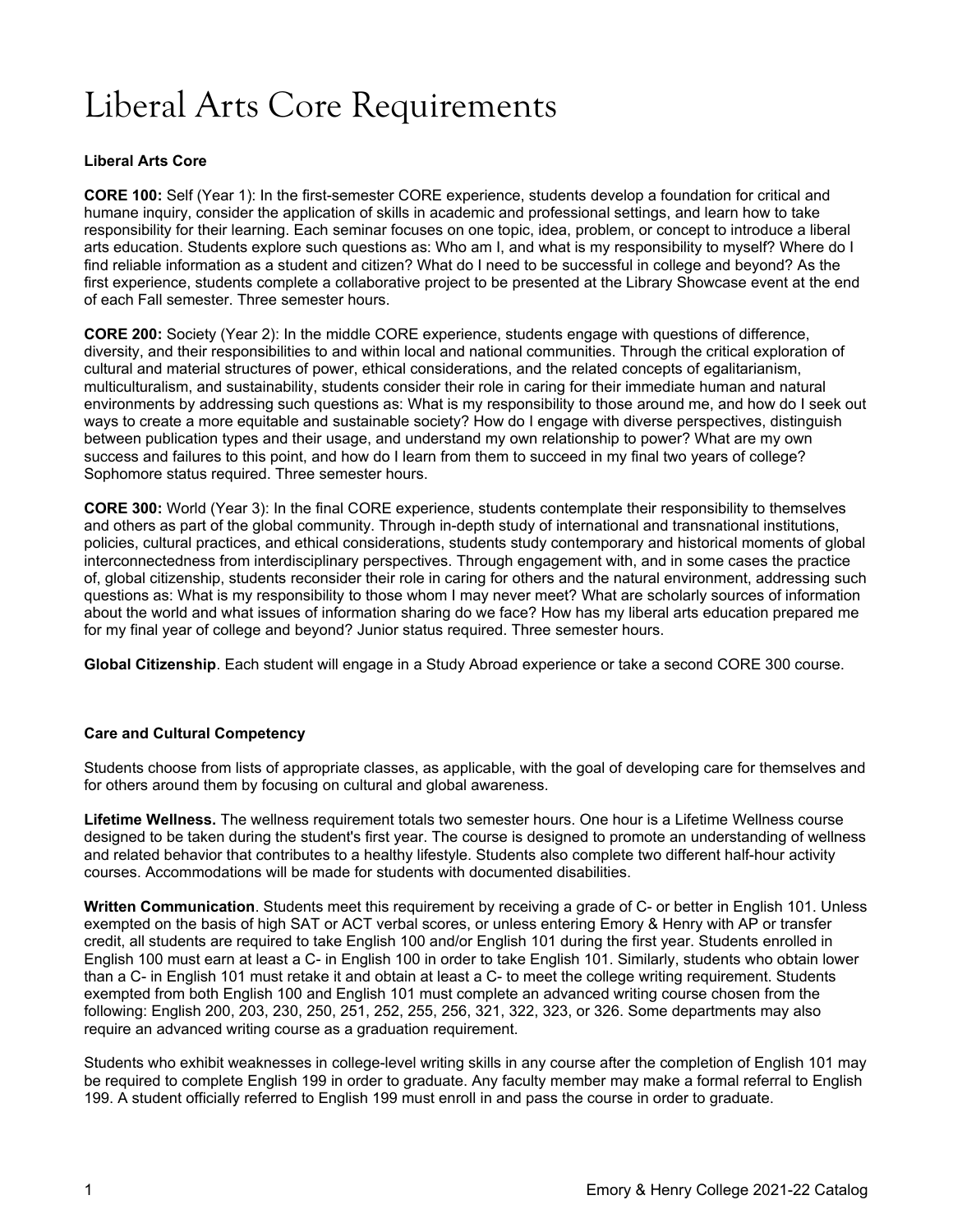# Liberal Arts Core Requirements

# **Liberal Arts Core**

**CORE 100:** Self (Year 1): In the first-semester CORE experience, students develop a foundation for critical and humane inquiry, consider the application of skills in academic and professional settings, and learn how to take responsibility for their learning. Each seminar focuses on one topic, idea, problem, or concept to introduce a liberal arts education. Students explore such questions as: Who am I, and what is my responsibility to myself? Where do I find reliable information as a student and citizen? What do I need to be successful in college and beyond? As the first experience, students complete a collaborative project to be presented at the Library Showcase event at the end of each Fall semester. Three semester hours.

**CORE 200:** Society (Year 2): In the middle CORE experience, students engage with questions of difference, diversity, and their responsibilities to and within local and national communities. Through the critical exploration of cultural and material structures of power, ethical considerations, and the related concepts of egalitarianism, multiculturalism, and sustainability, students consider their role in caring for their immediate human and natural environments by addressing such questions as: What is my responsibility to those around me, and how do I seek out ways to create a more equitable and sustainable society? How do I engage with diverse perspectives, distinguish between publication types and their usage, and understand my own relationship to power? What are my own success and failures to this point, and how do I learn from them to succeed in my final two years of college? Sophomore status required. Three semester hours.

**CORE 300:** World (Year 3): In the final CORE experience, students contemplate their responsibility to themselves and others as part of the global community. Through in-depth study of international and transnational institutions, policies, cultural practices, and ethical considerations, students study contemporary and historical moments of global interconnectedness from interdisciplinary perspectives. Through engagement with, and in some cases the practice of, global citizenship, students reconsider their role in caring for others and the natural environment, addressing such questions as: What is my responsibility to those whom I may never meet? What are scholarly sources of information about the world and what issues of information sharing do we face? How has my liberal arts education prepared me for my final year of college and beyond? Junior status required. Three semester hours.

**Global Citizenship**. Each student will engage in a Study Abroad experience or take a second CORE 300 course.

# **Care and Cultural Competency**

Students choose from lists of appropriate classes, as applicable, with the goal of developing care for themselves and for others around them by focusing on cultural and global awareness.

**Lifetime Wellness.** The wellness requirement totals two semester hours. One hour is a Lifetime Wellness course designed to be taken during the student's first year. The course is designed to promote an understanding of wellness and related behavior that contributes to a healthy lifestyle. Students also complete two different half-hour activity courses. Accommodations will be made for students with documented disabilities.

**Written Communication**. Students meet this requirement by receiving a grade of C- or better in English 101. Unless exempted on the basis of high SAT or ACT verbal scores, or unless entering Emory & Henry with AP or transfer credit, all students are required to take English 100 and/or English 101 during the first year. Students enrolled in English 100 must earn at least a C- in English 100 in order to take English 101. Similarly, students who obtain lower than a C- in English 101 must retake it and obtain at least a C- to meet the college writing requirement. Students exempted from both English 100 and English 101 must complete an advanced writing course chosen from the following: English 200, 203, 230, 250, 251, 252, 255, 256, 321, 322, 323, or 326. Some departments may also require an advanced writing course as a graduation requirement.

Students who exhibit weaknesses in college-level writing skills in any course after the completion of English 101 may be required to complete English 199 in order to graduate. Any faculty member may make a formal referral to English 199. A student officially referred to English 199 must enroll in and pass the course in order to graduate.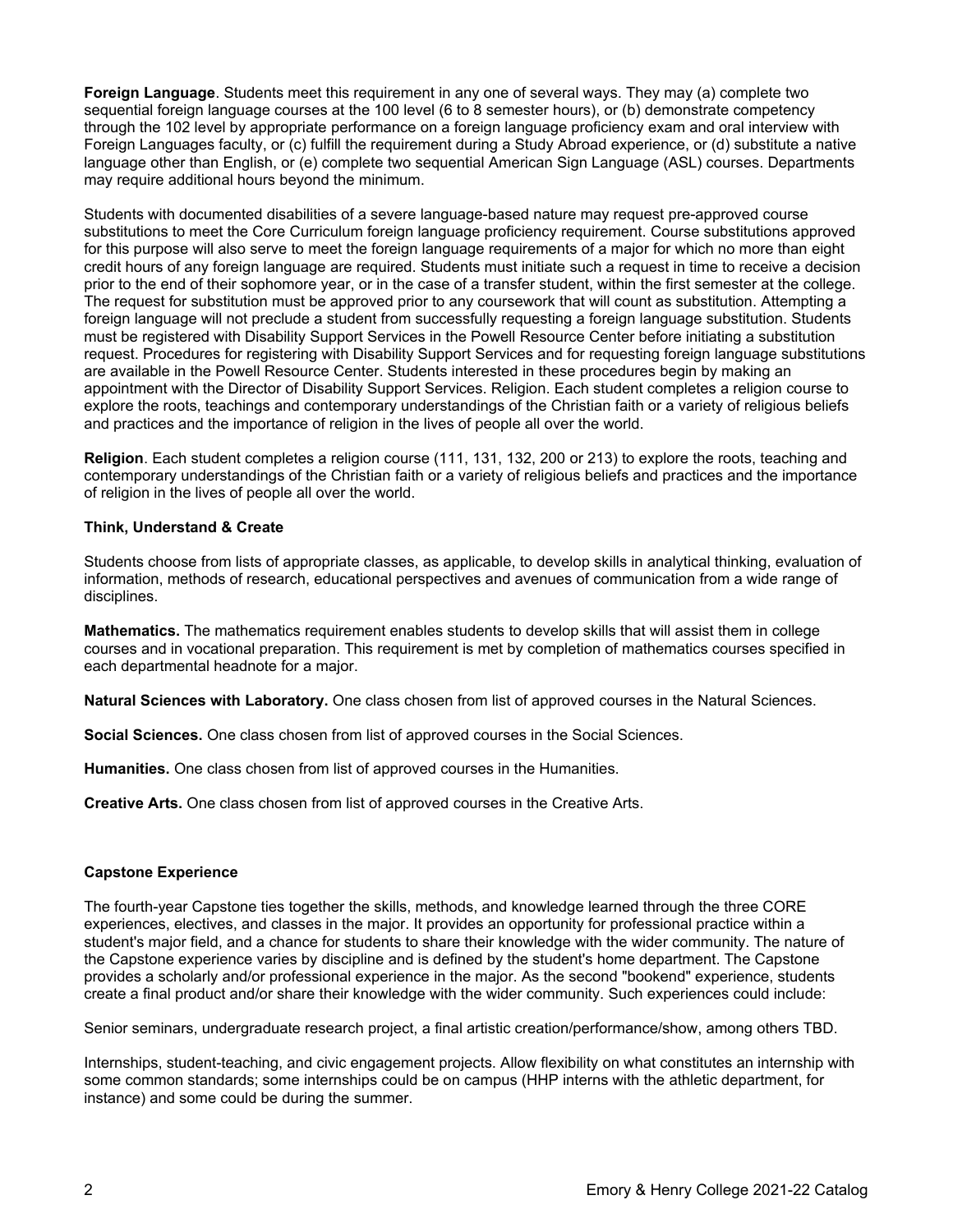**Foreign Language**. Students meet this requirement in any one of several ways. They may (a) complete two sequential foreign language courses at the 100 level (6 to 8 semester hours), or (b) demonstrate competency through the 102 level by appropriate performance on a foreign language proficiency exam and oral interview with Foreign Languages faculty, or (c) fulfill the requirement during a Study Abroad experience, or (d) substitute a native language other than English, or (e) complete two sequential American Sign Language (ASL) courses. Departments may require additional hours beyond the minimum.

Students with documented disabilities of a severe language-based nature may request pre-approved course substitutions to meet the Core Curriculum foreign language proficiency requirement. Course substitutions approved for this purpose will also serve to meet the foreign language requirements of a major for which no more than eight credit hours of any foreign language are required. Students must initiate such a request in time to receive a decision prior to the end of their sophomore year, or in the case of a transfer student, within the first semester at the college. The request for substitution must be approved prior to any coursework that will count as substitution. Attempting a foreign language will not preclude a student from successfully requesting a foreign language substitution. Students must be registered with Disability Support Services in the Powell Resource Center before initiating a substitution request. Procedures for registering with Disability Support Services and for requesting foreign language substitutions are available in the Powell Resource Center. Students interested in these procedures begin by making an appointment with the Director of Disability Support Services. Religion. Each student completes a religion course to explore the roots, teachings and contemporary understandings of the Christian faith or a variety of religious beliefs and practices and the importance of religion in the lives of people all over the world.

**Religion**. Each student completes a religion course (111, 131, 132, 200 or 213) to explore the roots, teaching and contemporary understandings of the Christian faith or a variety of religious beliefs and practices and the importance of religion in the lives of people all over the world.

# **Think, Understand & Create**

Students choose from lists of appropriate classes, as applicable, to develop skills in analytical thinking, evaluation of information, methods of research, educational perspectives and avenues of communication from a wide range of disciplines.

**Mathematics.** The mathematics requirement enables students to develop skills that will assist them in college courses and in vocational preparation. This requirement is met by completion of mathematics courses specified in each departmental headnote for a major.

**Natural Sciences with Laboratory.** One class chosen from list of approved courses in the Natural Sciences.

**Social Sciences.** One class chosen from list of approved courses in the Social Sciences.

**Humanities.** One class chosen from list of approved courses in the Humanities.

**Creative Arts.** One class chosen from list of approved courses in the Creative Arts.

# **Capstone Experience**

The fourth-year Capstone ties together the skills, methods, and knowledge learned through the three CORE experiences, electives, and classes in the major. It provides an opportunity for professional practice within a student's major field, and a chance for students to share their knowledge with the wider community. The nature of the Capstone experience varies by discipline and is defined by the student's home department. The Capstone provides a scholarly and/or professional experience in the major. As the second "bookend" experience, students create a final product and/or share their knowledge with the wider community. Such experiences could include:

Senior seminars, undergraduate research project, a final artistic creation/performance/show, among others TBD.

Internships, student-teaching, and civic engagement projects. Allow flexibility on what constitutes an internship with some common standards; some internships could be on campus (HHP interns with the athletic department, for instance) and some could be during the summer.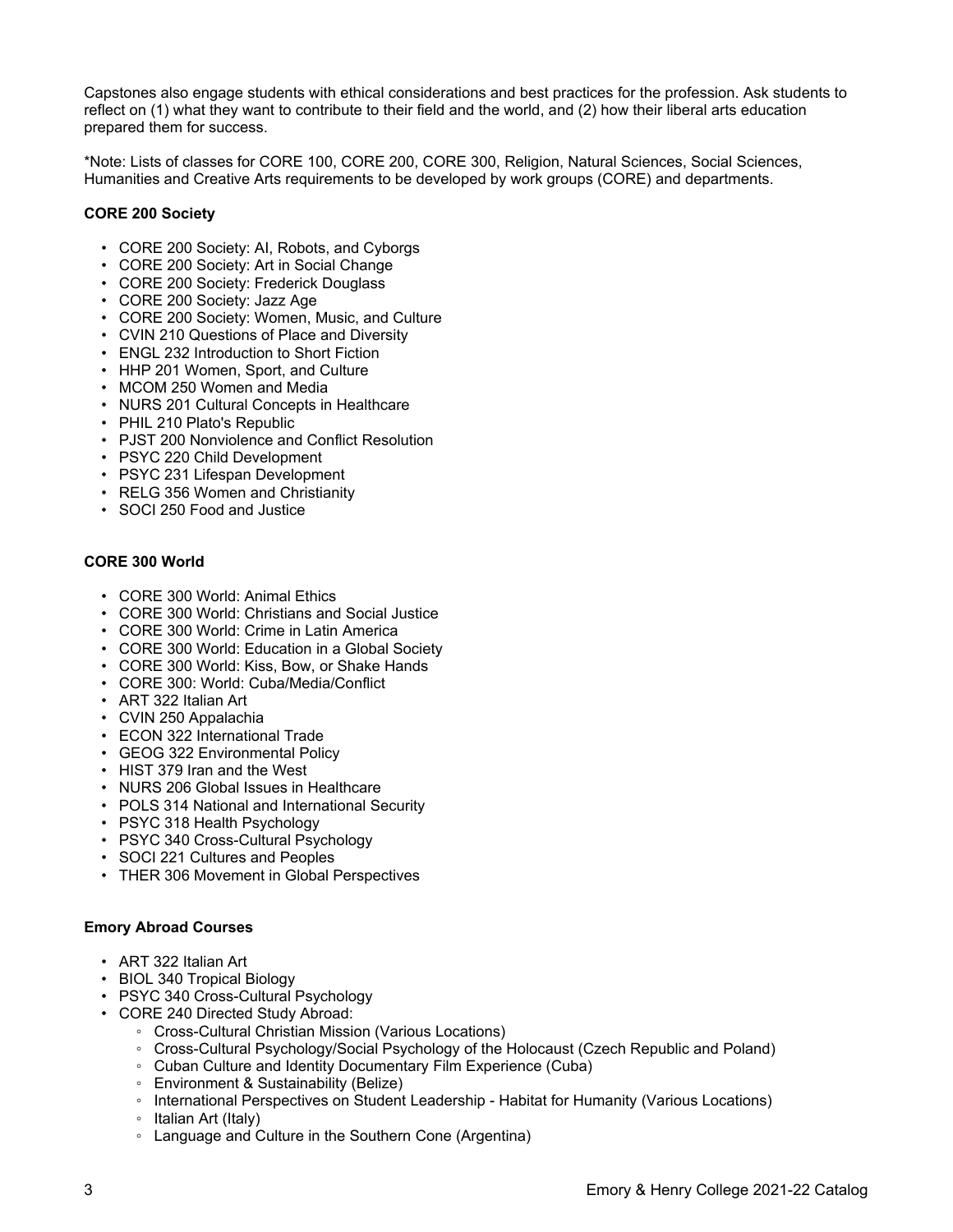Capstones also engage students with ethical considerations and best practices for the profession. Ask students to reflect on (1) what they want to contribute to their field and the world, and (2) how their liberal arts education prepared them for success.

\*Note: Lists of classes for CORE 100, CORE 200, CORE 300, Religion, Natural Sciences, Social Sciences, Humanities and Creative Arts requirements to be developed by work groups (CORE) and departments.

# **CORE 200 Society**

- CORE 200 Society: AI, Robots, and Cyborgs
- CORE 200 Society: Art in Social Change
- CORE 200 Society: Frederick Douglass
- CORE 200 Society: Jazz Age
- CORE 200 Society: Women, Music, and Culture
- CVIN 210 Questions of Place and Diversity
- ENGL 232 Introduction to Short Fiction
- HHP 201 Women, Sport, and Culture
- MCOM 250 Women and Media
- NURS 201 Cultural Concepts in Healthcare
- PHIL 210 Plato's Republic
- PJST 200 Nonviolence and Conflict Resolution
- PSYC 220 Child Development
- PSYC 231 Lifespan Development
- RELG 356 Women and Christianity
- SOCI 250 Food and Justice

#### **CORE 300 World**

- CORE 300 World: Animal Ethics
- CORE 300 World: Christians and Social Justice
- CORE 300 World: Crime in Latin America
- CORE 300 World: Education in a Global Society
- CORE 300 World: Kiss, Bow, or Shake Hands
- CORE 300: World: Cuba/Media/Conflict
- ART 322 Italian Art
- CVIN 250 Appalachia
- ECON 322 International Trade
- GEOG 322 Environmental Policy
- HIST 379 Iran and the West
- NURS 206 Global Issues in Healthcare
- POLS 314 National and International Security
- PSYC 318 Health Psychology
- PSYC 340 Cross-Cultural Psychology
- SOCI 221 Cultures and Peoples
- THER 306 Movement in Global Perspectives

# **Emory Abroad Courses**

- ART 322 Italian Art
- BIOL 340 Tropical Biology
- PSYC 340 Cross-Cultural Psychology
- CORE 240 Directed Study Abroad:
	- Cross-Cultural Christian Mission (Various Locations)
	- Cross-Cultural Psychology/Social Psychology of the Holocaust (Czech Republic and Poland)
	- Cuban Culture and Identity Documentary Film Experience (Cuba)
	- Environment & Sustainability (Belize)
	- International Perspectives on Student Leadership Habitat for Humanity (Various Locations)
	- Italian Art (Italy)
	- Language and Culture in the Southern Cone (Argentina)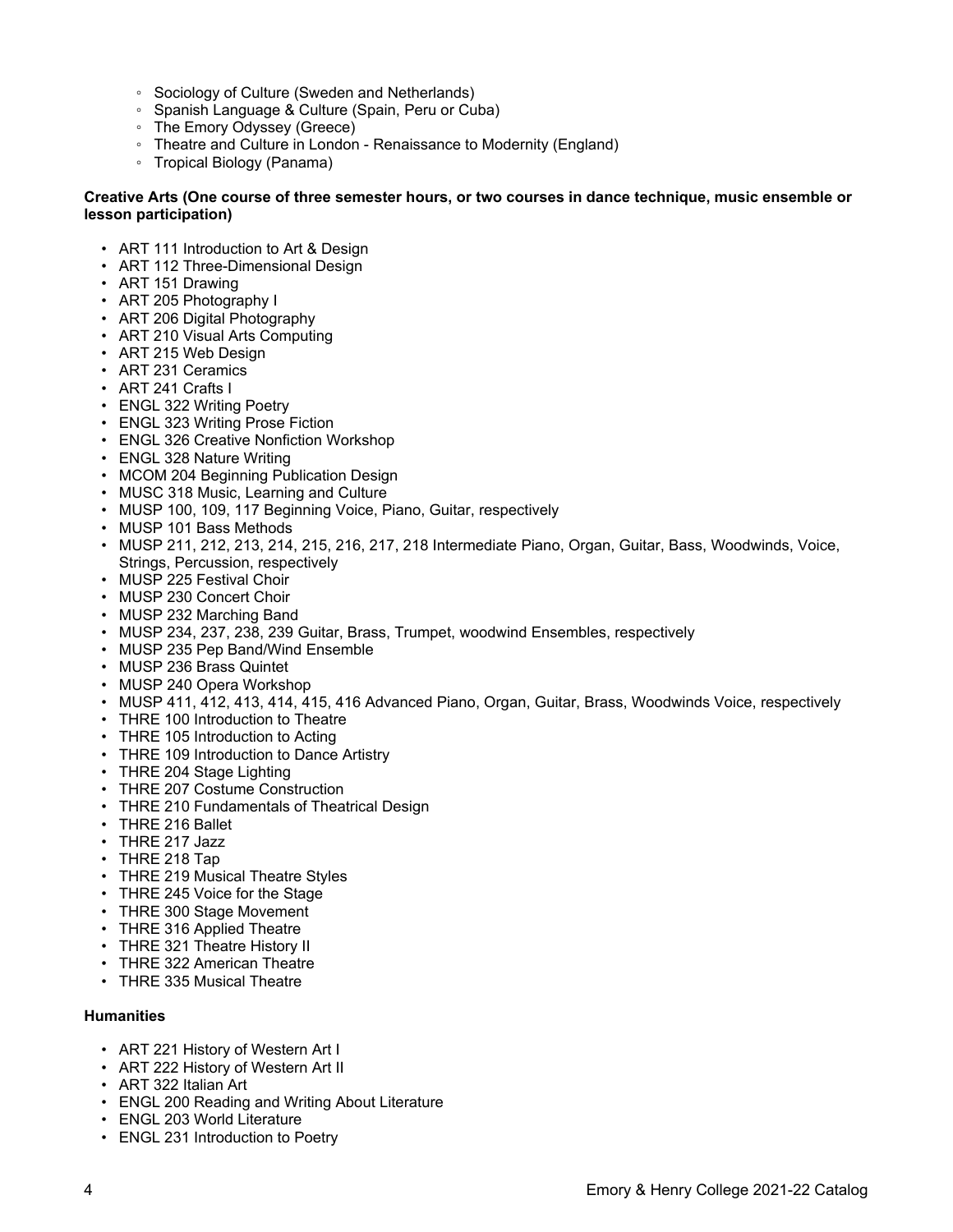- Sociology of Culture (Sweden and Netherlands)
- Spanish Language & Culture (Spain, Peru or Cuba)
- The Emory Odyssey (Greece)
- Theatre and Culture in London Renaissance to Modernity (England)
- Tropical Biology (Panama)

# **Creative Arts (One course of three semester hours, or two courses in dance technique, music ensemble or lesson participation)**

- ART 111 Introduction to Art & Design
- ART 112 Three-Dimensional Design
- ART 151 Drawing
- ART 205 Photography I
- ART 206 Digital Photography
- ART 210 Visual Arts Computing
- ART 215 Web Design
- ART 231 Ceramics
- ART 241 Crafts I
- ENGL 322 Writing Poetry
- ENGL 323 Writing Prose Fiction
- ENGL 326 Creative Nonfiction Workshop
- ENGL 328 Nature Writing
- MCOM 204 Beginning Publication Design
- MUSC 318 Music, Learning and Culture
- MUSP 100, 109, 117 Beginning Voice, Piano, Guitar, respectively
- MUSP 101 Bass Methods
- MUSP 211, 212, 213, 214, 215, 216, 217, 218 Intermediate Piano, Organ, Guitar, Bass, Woodwinds, Voice, Strings, Percussion, respectively
- MUSP 225 Festival Choir
- MUSP 230 Concert Choir
- MUSP 232 Marching Band
- MUSP 234, 237, 238, 239 Guitar, Brass, Trumpet, woodwind Ensembles, respectively
- MUSP 235 Pep Band/Wind Ensemble
- MUSP 236 Brass Quintet
- MUSP 240 Opera Workshop
- MUSP 411, 412, 413, 414, 415, 416 Advanced Piano, Organ, Guitar, Brass, Woodwinds Voice, respectively
- THRE 100 Introduction to Theatre
- THRE 105 Introduction to Acting
- THRE 109 Introduction to Dance Artistry
- THRE 204 Stage Lighting
- THRE 207 Costume Construction
- THRE 210 Fundamentals of Theatrical Design
- THRE 216 Ballet
- THRE 217 Jazz
- THRE 218 Tap
- THRE 219 Musical Theatre Styles
- THRE 245 Voice for the Stage
- THRE 300 Stage Movement
- THRE 316 Applied Theatre
- THRE 321 Theatre History II
- THRE 322 American Theatre
- THRE 335 Musical Theatre

# **Humanities**

- ART 221 History of Western Art I
- ART 222 History of Western Art II
- ART 322 Italian Art
- ENGL 200 Reading and Writing About Literature
- ENGL 203 World Literature
- ENGL 231 Introduction to Poetry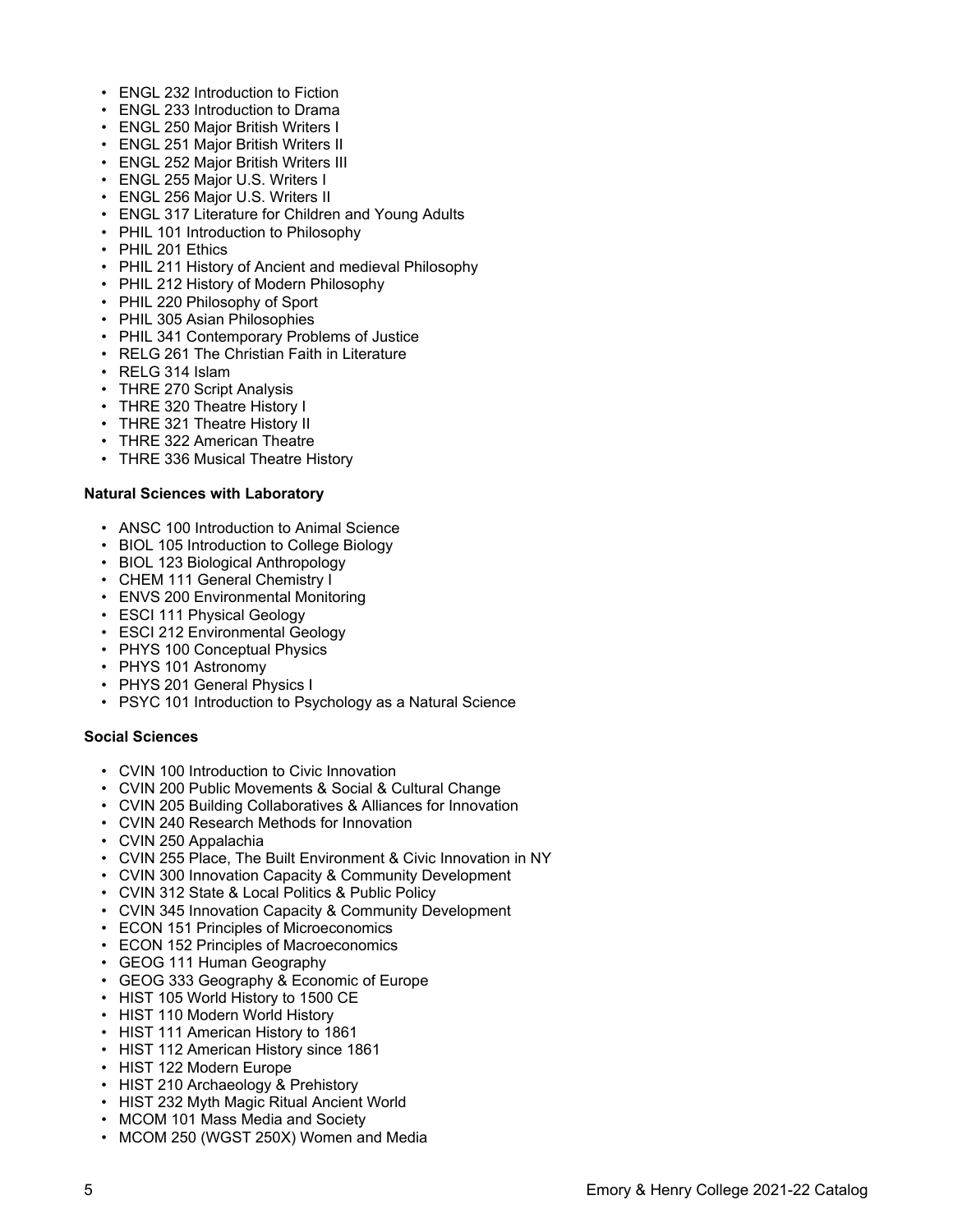- ENGL 232 Introduction to Fiction
- ENGL 233 Introduction to Drama
- ENGL 250 Major British Writers I
- ENGL 251 Major British Writers II
- ENGL 252 Major British Writers III
- ENGL 255 Major U.S. Writers I
- ENGL 256 Major U.S. Writers II
- ENGL 317 Literature for Children and Young Adults
- PHIL 101 Introduction to Philosophy
- PHIL 201 Ethics
- PHIL 211 History of Ancient and medieval Philosophy
- PHIL 212 History of Modern Philosophy
- PHIL 220 Philosophy of Sport
- PHIL 305 Asian Philosophies
- PHIL 341 Contemporary Problems of Justice
- RELG 261 The Christian Faith in Literature
- RELG 314 Islam
- THRE 270 Script Analysis
- THRE 320 Theatre History I
- THRE 321 Theatre History II
- THRE 322 American Theatre
- THRE 336 Musical Theatre History

# **Natural Sciences with Laboratory**

- ANSC 100 Introduction to Animal Science
- BIOL 105 Introduction to College Biology
- BIOL 123 Biological Anthropology
- CHEM 111 General Chemistry I
- ENVS 200 Environmental Monitoring
- ESCI 111 Physical Geology
- ESCI 212 Environmental Geology
- PHYS 100 Conceptual Physics
- PHYS 101 Astronomy
- PHYS 201 General Physics I
- PSYC 101 Introduction to Psychology as a Natural Science

# **Social Sciences**

- CVIN 100 Introduction to Civic Innovation
- CVIN 200 Public Movements & Social & Cultural Change
- CVIN 205 Building Collaboratives & Alliances for Innovation
- CVIN 240 Research Methods for Innovation
- CVIN 250 Appalachia
- CVIN 255 Place, The Built Environment & Civic Innovation in NY
- CVIN 300 Innovation Capacity & Community Development
- CVIN 312 State & Local Politics & Public Policy
- CVIN 345 Innovation Capacity & Community Development
- ECON 151 Principles of Microeconomics
- ECON 152 Principles of Macroeconomics
- GEOG 111 Human Geography
- GEOG 333 Geography & Economic of Europe
- HIST 105 World History to 1500 CE
- HIST 110 Modern World History
- HIST 111 American History to 1861
- HIST 112 American History since 1861
- HIST 122 Modern Europe
- HIST 210 Archaeology & Prehistory
- HIST 232 Myth Magic Ritual Ancient World
- MCOM 101 Mass Media and Society
- MCOM 250 (WGST 250X) Women and Media